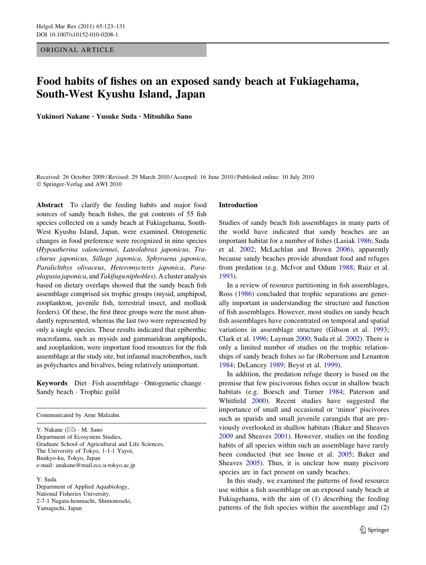## ORIGINAL ARTICLE

# Food habits of fishes on an exposed sandy beach at Fukiagehama, South-West Kyushu Island, Japan

Yukinori Nakane • Yusuke Suda • Mitsuhiko Sano

Received: 26 October 2009 / Revised: 29 March 2010 / Accepted: 16 June 2010 / Published online: 10 July 2010 © Springer-Verlag and AWI 2010

Abstract To clarify the feeding habits and major food sources of sandy beach fishes, the gut contents of 55 fish species collected on a sandy beach at Fukiagehama, South-West Kyushu Island, Japan, were examined. Ontogenetic changes in food preference were recognized in nine species (Hypoatherina valenciennei, Lateolabrax japonicus, Trachurus japonicus, Sillago japonica, Sphyraena japonica, Paralichthys olivaceus, Heteromycteris japonica, Paraplagusia japonica, and Takifugu niphobles). A cluster analysis based on dietary overlaps showed that the sandy beach fish assemblage comprised six trophic groups (mysid, amphipod, zooplankton, juvenile fish, terrestrial insect, and mollusk feeders). Of these, the first three groups were the most abundantly represented, whereas the last two were represented by only a single species. These results indicated that epibenthic macrofauna, such as mysids and gammaridean amphipods, and zooplankton, were important food resources for the fish assemblage at the study site, but infaunal macrobenthos, such as polychaetes and bivalves, being relatively unimportant.

Keywords Diet · Fish assemblage · Ontogenetic change · Sandy beach - Trophic guild

Communicated by Arne Malzahn.

Y. Nakane  $(\boxtimes) \cdot M$ . Sano Department of Ecosystem Studies, Graduate School of Agricultural and Life Sciences, The University of Tokyo, 1-1-1 Yayoi, Bunkyo-ku, Tokyo, Japan e-mail: anakane@mail.ecc.u-tokyo.ac.jp

Y. Suda

Department of Applied Aquabiology, National Fisheries University, 2-7-1 Nagata-honmachi, Shimonoseki, Yamaguchi, Japan

### Introduction

Studies of sandy beach fish assemblages in many parts of the world have indicated that sandy beaches are an important habitat for a number of fishes (Lasiak [1986](#page-8-0); Suda et al. [2002](#page-8-0); McLachlan and Brown [2006\)](#page-8-0), apparently because sandy beaches provide abundant food and refuges from predation (e.g. McIvor and Odum [1988;](#page-8-0) Ruiz et al. [1993](#page-8-0)).

In a review of resource partitioning in fish assemblages, Ross [\(1986](#page-8-0)) concluded that trophic separations are generally important in understanding the structure and function of fish assemblages. However, most studies on sandy beach fish assemblages have concentrated on temporal and spatial variations in assemblage structure (Gibson et al. [1993](#page-7-0); Clark et al. [1996;](#page-7-0) Layman [2000;](#page-8-0) Suda et al. [2002](#page-8-0)). There is only a limited number of studies on the trophic relationships of sandy beach fishes so far (Robertson and Lenanton [1984](#page-8-0); DeLancey [1989;](#page-7-0) Beyst et al. [1999\)](#page-7-0).

In addition, the predation refuge theory is based on the premise that few piscivorous fishes occur in shallow beach habitats (e.g. Boesch and Turner [1984](#page-7-0); Paterson and Whitfield [2000](#page-8-0)). Recent studies have suggested the importance of small and occasional or 'minor' piscivores such as sparids and small juvenile carangids that are previously overlooked in shallow habitats (Baker and Sheaves [2009](#page-7-0) and Sheaves [2001](#page-8-0)). However, studies on the feeding habits of all species within such an assemblage have rarely been conducted (but see Inoue et al. [2005](#page-8-0); Baker and Sheaves [2005\)](#page-7-0). Thus, it is unclear how many piscivore species are in fact present on sandy beaches.

In this study, we examined the patterns of food resource use within a fish assemblage on an exposed sandy beach at Fukiagehama, with the aim of (1) describing the feeding patterns of the fish species within the assemblage and (2)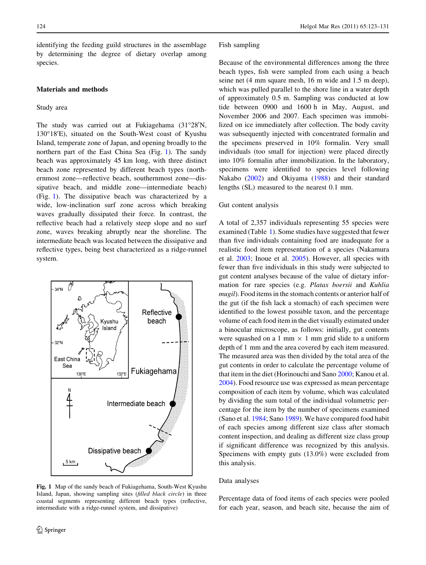identifying the feeding guild structures in the assemblage by determining the degree of dietary overlap among species.

## Materials and methods

### Study area

The study was carried out at Fukiagehama (31°28'N, 130°18'E), situated on the South-West coast of Kyushu Island, temperate zone of Japan, and opening broadly to the northern part of the East China Sea (Fig. 1). The sandy beach was approximately 45 km long, with three distinct beach zone represented by different beach types (northernmost zone—reflective beach, southernmost zone—dissipative beach, and middle zone—intermediate beach) (Fig. 1). The dissipative beach was characterized by a wide, low-inclination surf zone across which breaking waves gradually dissipated their force. In contrast, the reflective beach had a relatively steep slope and no surf zone, waves breaking abruptly near the shoreline. The intermediate beach was located between the dissipative and reflective types, being best characterized as a ridge-runnel system.



Fig. 1 Map of the sandy beach of Fukiagehama, South-West Kyushu Island, Japan, showing sampling sites (filled black circle) in three coastal segments representing different beach types (reflective, intermediate with a ridge-runnel system, and dissipative)

### Fish sampling

Because of the environmental differences among the three beach types, fish were sampled from each using a beach seine net (4 mm square mesh, 16 m wide and 1.5 m deep), which was pulled parallel to the shore line in a water depth of approximately 0.5 m. Sampling was conducted at low tide between 0900 and 1600 h in May, August, and November 2006 and 2007. Each specimen was immobilized on ice immediately after collection. The body cavity was subsequently injected with concentrated formalin and the specimens preserved in 10% formalin. Very small individuals (too small for injection) were placed directly into 10% formalin after immobilization. In the laboratory, specimens were identified to species level following Nakabo ([2002\)](#page-8-0) and Okiyama ([1988\)](#page-8-0) and their standard lengths (SL) measured to the nearest 0.1 mm.

### Gut content analysis

A total of 2,357 individuals representing 55 species were examined (Table [1](#page-2-0)). Some studies have suggested that fewer than five individuals containing food are inadequate for a realistic food item representation of a species (Nakamura et al. [2003;](#page-8-0) Inoue et al. [2005\)](#page-8-0). However, all species with fewer than five individuals in this study were subjected to gut content analyses because of the value of dietary information for rare species (e.g. Platax boersii and Kuhlia mugil). Food items in the stomach contents or anterior half of the gut (if the fish lack a stomach) of each specimen were identified to the lowest possible taxon, and the percentage volume of each food item in the diet visually estimated under a binocular microscope, as follows: initially, gut contents were squashed on a 1 mm  $\times$  1 mm grid slide to a uniform depth of 1 mm and the area covered by each item measured. The measured area was then divided by the total area of the gut contents in order to calculate the percentage volume of that item in the diet (Horinouchi and Sano [2000](#page-8-0); Kanou et al. [2004](#page-8-0)). Food resource use was expressed as mean percentage composition of each item by volume, which was calculated by dividing the sum total of the individual volumetric percentage for the item by the number of specimens examined (Sano et al. [1984](#page-8-0); Sano [1989](#page-8-0)). We have compared food habit of each species among different size class after stomach content inspection, and dealing as different size class group if significant difference was recognized by this analysis. Specimens with empty guts (13.0%) were excluded from this analysis.

#### Data analyses

Percentage data of food items of each species were pooled for each year, season, and beach site, because the aim of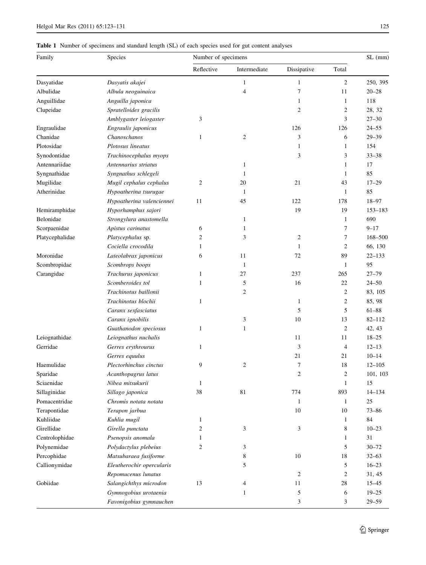# <span id="page-2-0"></span>Table 1 Number of specimens and standard length (SL) of each species used for gut content analyses

| Family          | Species                                 | Number of specimens |                          |                |                   | $SL$ (mm)      |
|-----------------|-----------------------------------------|---------------------|--------------------------|----------------|-------------------|----------------|
|                 |                                         | Reflective          | Intermediate             | Dissipative    | Total             |                |
| Dasyatidae      | Dasyatis akajei                         |                     | 1                        | 1              | $\overline{c}$    | 250, 395       |
| Albulidae       | Albula neoguinaica                      |                     | $\overline{\mathcal{A}}$ | 7              | 11                | $20 - 28$      |
| Anguillidae     | Anguilla japonica                       |                     |                          | 1              | $\mathbf{1}$      | 118            |
| Clupeidae       | Spratelloides gracilis                  |                     |                          | $\overline{c}$ | $\overline{2}$    | 28, 32         |
|                 | Amblygaster leiogaster                  | 3                   |                          |                | 3                 | $27 - 30$      |
| Engraulidae     | Engraulis japonicus                     |                     |                          | 126            | 126               | $24 - 55$      |
| Chanidae        | Chanoschanos                            | 1                   | $\mathfrak{2}$           | 3              | 6                 | $29 - 39$      |
| Plotosidae      | Plotosus lineatus                       |                     |                          | 1              | $\mathbf{1}$      | 154            |
| Synodontidae    | Trachinocephalus myops                  |                     |                          | 3              | 3                 | $33 - 38$      |
| Antennariidae   | Antennarius striatus                    |                     | 1                        |                | $\mathbf{1}$      | 17             |
| Syngnathidae    | Syngnathus schlegeli                    |                     | 1                        |                | $\mathbf{1}$      | 85             |
| Mugilidae       | Mugil cephalus cephalus                 | $\mathfrak{2}$      | 20                       | 21             | 43                | $17 - 29$      |
| Atherinidae     | Hypoatherina tsurugae                   |                     | 1                        |                | $\mathbf{1}$      | 85             |
|                 | Hypoatherina valenciennei               | 11                  | 45                       | 122            | 178               | 18-97          |
| Hemiramphidae   | Hyporhamphus sajori                     |                     |                          | 19             | 19                | $153 - 183$    |
| Belonidae       | Strongylura anastomella                 |                     | 1                        |                | 1                 | 690            |
| Scorpaenidae    | Apistus carinatus                       | 6                   | 1                        |                | 7                 | $9 - 17$       |
| Platycephalidae | Platycephalus sp.                       | 2                   | 3                        | 2              | 7                 | 168-500        |
|                 | Cociella crocodila                      | 1                   |                          | 1              | $\overline{2}$    | 66, 130        |
| Moronidae       | Lateolabrax japonicus                   | 6                   | 11                       | 72             | 89                | $22 - 133$     |
| Scombropidae    | Scombrops boops                         |                     | 1                        |                | $\mathbf{1}$      | 95             |
| Carangidae      | Trachurus japonicus                     | 1                   | 27                       | 237            | 265               | $27 - 79$      |
|                 | Scomberoides tol                        | 1                   | 5                        | 16             | 22                | $24 - 50$      |
|                 | Trachinotus baillonii                   |                     | $\mathfrak{2}$           |                | $\overline{c}$    | 83, 105        |
|                 | Trachinotus blochii                     | 1                   |                          | $\mathbf{1}$   | $\sqrt{2}$        | 85, 98         |
|                 | Caranx sexfasciatus                     |                     |                          | 5              | 5                 | $61 - 88$      |
|                 | Caranx ignobilis                        |                     | 3                        | 10             | 13                | $82 - 112$     |
|                 | Guathanodon speciosus                   | 1                   | $\mathbf{1}$             |                | $\overline{2}$    | 42, 43         |
| Leiognathidae   | Leiognathus nuchalis                    |                     |                          | 11             | 11                | $18 - 25$      |
| Gerridae        | Gerres erythrourus                      | 1                   |                          | 3              | 4                 | $12 - 13$      |
|                 | Gerres equulus                          |                     |                          | 21             | 21                | $10 - 14$      |
| Haemulidae      | Plectorhinchus cinctus                  | 9                   | $\overline{c}$           | $\tau$         | 18                | $12 - 105$     |
| Sparidae        |                                         |                     |                          |                |                   |                |
| Sciaenidae      | Acanthopagrus latus<br>Nibea mitsukurii | 1                   |                          | 2              | 2<br>$\mathbf{1}$ | 101, 103<br>15 |
|                 |                                         | 38                  | 81                       | 774            | 893               | $14 - 134$     |
| Sillaginidae    | Sillago japonica                        |                     |                          |                |                   | 25             |
| Pomacentridae   | Chromis notata notata                   |                     |                          | $\mathbf{1}$   | $\mathbf{1}$      |                |
| Terapontidae    | Terapon jarbua                          |                     |                          | 10             | 10                | $73 - 86$      |
| Kuhliidae       | Kuhlia mugil                            | 1                   |                          |                | $\mathbf{1}$      | 84             |
| Girellidae      | Girella punctata                        | 2                   | 3                        | 3              | 8                 | $10 - 23$      |
| Centrolophidae  | Psenopsis anomala                       | 1                   |                          |                | 1                 | 31             |
| Polynemidae     | Polydactylus plebeius                   | 2                   | 3                        |                | 5                 | $30 - 72$      |
| Percophidae     | Matsubaraea fusiforme                   |                     | 8                        | 10             | 18                | $32 - 63$      |
| Callionymidae   | Eleutherochir opercularis               |                     | 5                        |                | 5                 | $16 - 23$      |
|                 | Repomucenus lunatus                     |                     |                          | 2              | 2                 | 31, 45         |
| Gobiidae        | Salangichthys microdon                  | 13                  | 4                        | 11             | 28                | $15 - 45$      |
|                 | Gymnogobius urotaenia                   |                     | $\mathbf{1}$             | 5              | 6                 | $19 - 25$      |
|                 | Favonigobius gymnauchen                 |                     |                          | 3              | 3                 | $29 - 59$      |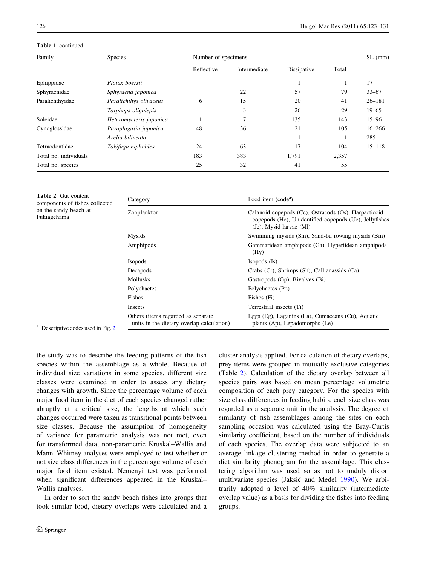<span id="page-3-0"></span>Table 1 continued

| Family                | Species                 | Number of specimens |              |             |       | $SL$ (mm)  |
|-----------------------|-------------------------|---------------------|--------------|-------------|-------|------------|
|                       |                         | Reflective          | Intermediate | Dissipative | Total |            |
| Ephippidae            | Platax boersii          |                     |              |             |       | 17         |
| Sphyraenidae          | Sphyraena japonica      |                     | 22           | 57          | 79    | $33 - 67$  |
| Paralichthyidae       | Paralichthys olivaceus  | 6                   | 15           | 20          | 41    | $26 - 181$ |
|                       | Tarphops oligolepis     |                     | 3            | 26          | 29    | $19 - 65$  |
| Soleidae              | Heteromycteris japonica |                     | 7            | 135         | 143   | $15 - 96$  |
| Cynoglossidae         | Paraplagusia japonica   | 48                  | 36           | 21          | 105   | $16 - 266$ |
|                       | Arelia bilineata        |                     |              |             |       | 285        |
| Tetraodontidae        | Takifugu niphobles      | 24                  | 63           | 17          | 104   | $15 - 118$ |
| Total no. individuals |                         | 183                 | 383          | 1.791       | 2,357 |            |
| Total no. species     |                         | 25                  | 32           | 41          | 55    |            |

| Table 2 Gut content            |  |
|--------------------------------|--|
| components of fishes collected |  |
| on the sandy beach at          |  |
| Fukiagehama                    |  |

| Category                                                                        | Food item (code <sup>a</sup> )                                                                                                            |
|---------------------------------------------------------------------------------|-------------------------------------------------------------------------------------------------------------------------------------------|
| Zooplankton                                                                     | Calanoid copepods (Cc), Ostracods (Os), Harpacticoid<br>copepods (Hc), Unidentified copepods (Uc), Jellyfishes<br>(Je), Mysid larvae (MI) |
| Mysids                                                                          | Swimming mysids (Sm), Sand-bu rowing mysids (Bm)                                                                                          |
| Amphipods                                                                       | Gammaridean amphipods (Ga), Hyperiidean amphipods<br>(Hy)                                                                                 |
| <b>Isopods</b>                                                                  | $Isopods$ ( $Is$ )                                                                                                                        |
| Decapods                                                                        | Crabs (Cr), Shrimps (Sh), Callianassids (Ca)                                                                                              |
| <b>Mollusks</b>                                                                 | Gastropods (Gp), Bivalves (Bi)                                                                                                            |
| Polychaetes                                                                     | Polychaetes (Po)                                                                                                                          |
| Fishes                                                                          | Fishes (Fi)                                                                                                                               |
| Insects                                                                         | Terrestrial insects (Ti)                                                                                                                  |
| Others (items regarded as separate<br>units in the dietary overlap calculation) | Eggs (Eg), Laganins (La), Cumaceans (Cu), Aquatic<br>plants (Ap), Lepadomorphs (Le)                                                       |

<sup>a</sup> Descriptive codes used in Fig. [2](#page-5-0)

the study was to describe the feeding patterns of the fish species within the assemblage as a whole. Because of individual size variations in some species, different size classes were examined in order to assess any dietary changes with growth. Since the percentage volume of each major food item in the diet of each species changed rather abruptly at a critical size, the lengths at which such changes occurred were taken as transitional points between size classes. Because the assumption of homogeneity of variance for parametric analysis was not met, even for transformed data, non-parametric Kruskal–Wallis and Mann–Whitney analyses were employed to test whether or not size class differences in the percentage volume of each major food item existed. Nemenyi test was performed when significant differences appeared in the Kruskal– Wallis analyses.

In order to sort the sandy beach fishes into groups that took similar food, dietary overlaps were calculated and a cluster analysis applied. For calculation of dietary overlaps, prey items were grouped in mutually exclusive categories (Table 2). Calculation of the dietary overlap between all species pairs was based on mean percentage volumetric composition of each prey category. For the species with size class differences in feeding habits, each size class was regarded as a separate unit in the analysis. The degree of similarity of fish assemblages among the sites on each sampling occasion was calculated using the Bray-Curtis similarity coefficient, based on the number of individuals of each species. The overlap data were subjected to an average linkage clustering method in order to generate a diet similarity phenogram for the assemblage. This clustering algorithm was used so as not to unduly distort multivariate species (Jaksić and Medel [1990\)](#page-8-0). We arbitrarily adopted a level of 40% similarity (intermediate overlap value) as a basis for dividing the fishes into feeding groups.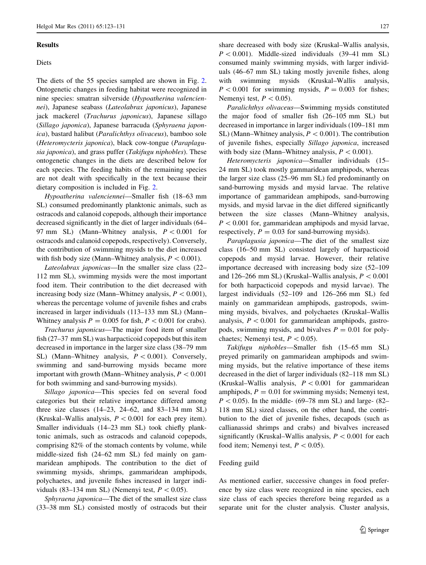### Results

## Diets

The diets of the 55 species sampled are shown in Fig. [2.](#page-5-0) Ontogenetic changes in feeding habitat were recognized in nine species: smatran silverside (Hypoatherina valenciennei), Japanese seabass (Lateolabrax japonicus), Japanese jack mackerel (Trachurus japonicus), Japanese sillago (Sillago japonica), Japanese barracuda (Sphyraena japonica), bastard halibut (Paralichthys olivaceus), bamboo sole (Heteromycteris japonica), black cow-tongue (Paraplagusia japonica), and grass puffer (Takifugu niphobles). These ontogenetic changes in the diets are described below for each species. The feeding habits of the remaining species are not dealt with specifically in the text because their dietary composition is included in Fig. [2](#page-5-0).

Hypoatherina valenciennei—Smaller fish (18–63 mm SL) consumed predominantly planktonic animals, such as ostracods and calanoid copepods, although their importance decreased significantly in the diet of larger individuals (64– 97 mm SL) (Mann–Whitney analysis,  $P < 0.001$  for ostracods and calanoid copepods, respectively). Conversely, the contribution of swimming mysids to the diet increased with fish body size (Mann–Whitney analysis,  $P < 0.001$ ).

Lateolabrax japonicus—In the smaller size class (22– 112 mm SL), swimming mysids were the most important food item. Their contribution to the diet decreased with increasing body size (Mann–Whitney analysis,  $P < 0.001$ ), whereas the percentage volume of juvenile fishes and crabs increased in larger individuals (113–133 mm SL) (Mann– Whitney analysis  $P = 0.005$  for fish,  $P < 0.001$  for crabs).

Trachurus japonicus—The major food item of smaller fish (27–37 mm SL) was harpacticoid copepods but this item decreased in importance in the larger size class (38–79 mm SL) (Mann–Whitney analysis,  $P < 0.001$ ). Conversely, swimming and sand-burrowing mysids became more important with growth (Mann–Whitney analysis,  $P < 0.001$ for both swimming and sand-burrowing mysids).

Sillago japonica—This species fed on several food categories but their relative importance differed among three size classes (14–23, 24–62, and 83–134 mm SL) (Kruskal–Wallis analysis,  $P < 0.001$  for each prey item). Smaller individuals (14–23 mm SL) took chiefly planktonic animals, such as ostracods and calanoid copepods, comprising 82% of the stomach contents by volume, while middle-sized fish (24–62 mm SL) fed mainly on gammaridean amphipods. The contribution to the diet of swimming mysids, shrimps, gammaridean amphipods, polychaetes, and juvenile fishes increased in larger individuals (83–134 mm SL) (Nemenyi test,  $P < 0.05$ ).

Sphyraena japonica—The diet of the smallest size class (33–38 mm SL) consisted mostly of ostracods but their share decreased with body size (Kruskal–Wallis analysis,  $P < 0.001$ ). Middle-sized individuals (39–41 mm SL) consumed mainly swimming mysids, with larger individuals (46–67 mm SL) taking mostly juvenile fishes, along with swimming mysids (Kruskal–Wallis analysis,  $P < 0.001$  for swimming mysids,  $P = 0.003$  for fishes; Nemenyi test,  $P < 0.05$ ).

Paralichthys olivaceus—Swimming mysids constituted the major food of smaller fish (26–105 mm SL) but decreased in importance in larger individuals (109–181 mm SL) (Mann–Whitney analysis,  $P < 0.001$ ). The contribution of juvenile fishes, especially Sillago japonica, increased with body size (Mann–Whitney analysis,  $P < 0.001$ ).

Heteromycteris japonica—Smaller individuals (15– 24 mm SL) took mostly gammaridean amphipods, whereas the larger size class (25–96 mm SL) fed predominantly on sand-burrowing mysids and mysid larvae. The relative importance of gammaridean amphipods, sand-burrowing mysids, and mysid larvae in the diet differed significantly between the size classes (Mann–Whitney analysis,  $P<0.001$  for, gammaridean amphipods and mysid larvae, respectively,  $P = 0.03$  for sand-burrowing mysids).

Paraplagusia japonica—The diet of the smallest size class (16–50 mm SL) consisted largely of harpacticoid copepods and mysid larvae. However, their relative importance decreased with increasing body size (52–109 and 126–266 mm SL) (Kruskal–Wallis analysis,  $P < 0.001$ for both harpacticoid copepods and mysid larvae). The largest individuals (52–109 and 126–266 mm SL) fed mainly on gammaridean amphipods, gastropods, swimming mysids, bivalves, and polychaetes (Kruskal–Wallis analysis,  $P < 0.001$  for gammaridean amphipods, gastropods, swimming mysids, and bivalves  $P = 0.01$  for polychaetes; Nemenyi test,  $P < 0.05$ ).

Takifugu niphobles—Smaller fish (15–65 mm SL) preyed primarily on gammaridean amphipods and swimming mysids, but the relative importance of these items decreased in the diet of larger individuals (82–118 mm SL) (Kruskal–Wallis analysis,  $P < 0.001$  for gammaridean amphipods,  $P = 0.01$  for swimming mysids; Nemenyi test,  $P < 0.05$ ). In the middle- (69–78 mm SL) and large- (82– 118 mm SL) sized classes, on the other hand, the contribution to the diet of juvenile fishes, decapods (such as callianassid shrimps and crabs) and bivalves increased significantly (Kruskal–Wallis analysis,  $P < 0.001$  for each food item; Nemenyi test,  $P < 0.05$ ).

# Feeding guild

As mentioned earlier, successive changes in food preference by size class were recognized in nine species, each size class of each species therefore being regarded as a separate unit for the cluster analysis. Cluster analysis,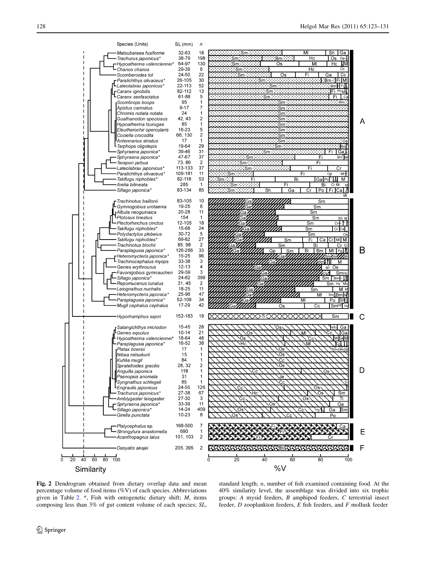<span id="page-5-0"></span>

Fig. 2 Dendrogram obtained from dietary overlap data and mean percentage volume of food items (%V) of each species. Abbreviations given in Table [2.](#page-3-0) \*, Fish with ontogenetic dietary shift; M, items composing less than 3% of gut content volume of each species; SL,

standard length; n, number of fish examined containing food. At the 40% similarity level, the assemblage was divided into six trophic groups: A mysid feeders, B amphipod feeders, C terrestrial insect feeder, D zooplankton feeders, E fish feeders, and F mollusk feeder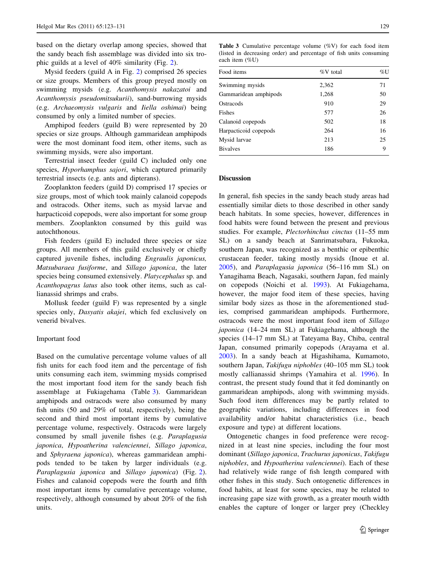<span id="page-6-0"></span>based on the dietary overlap among species, showed that the sandy beach fish assemblage was divided into six trophic guilds at a level of 40% similarity (Fig. [2](#page-5-0)).

Mysid feeders (guild A in Fig. [2\)](#page-5-0) comprised 26 species or size groups. Members of this group preyed mostly on swimming mysids (e.g. Acanthomysis nakazatoi and Acanthomysis pseudomitsukurii), sand-burrowing mysids (e.g. Archaeomysis vulgaris and Iiella oshimai) being consumed by only a limited number of species.

Amphipod feeders (guild B) were represented by 20 species or size groups. Although gammaridean amphipods were the most dominant food item, other items, such as swimming mysids, were also important.

Terrestrial insect feeder (guild C) included only one species, *Hyporhamphus sajori*, which captured primarily terrestrial insects (e.g. ants and dipterans).

Zooplankton feeders (guild D) comprised 17 species or size groups, most of which took mainly calanoid copepods and ostracods. Other items, such as mysid larvae and harpacticoid copepods, were also important for some group members. Zooplankton consumed by this guild was autochthonous.

Fish feeders (guild E) included three species or size groups. All members of this guild exclusively or chiefly captured juvenile fishes, including Engraulis japonicus, Matsubaraea fusiforme, and Sillago japonica, the later species being consumed extensively. Platycephalus sp. and Acanthopagrus latus also took other items, such as callianassid shrimps and crabs.

Mollusk feeder (guild F) was represented by a single species only, Dasyatis akajei, which fed exclusively on venerid bivalves.

### Important food

Based on the cumulative percentage volume values of all fish units for each food item and the percentage of fish units consuming each item, swimming mysids comprised the most important food item for the sandy beach fish assemblage at Fukiagehama (Table 3). Gammaridean amphipods and ostracods were also consumed by many fish units (50 and 29% of total, respectively), being the second and third most important items by cumulative percentage volume, respectively. Ostracods were largely consumed by small juvenile fishes (e.g. Paraplagusia japonica, Hypoatherina valenciennei, Sillago japonica, and Sphyraena japonica), whereas gammaridean amphipods tended to be taken by larger individuals (e.g. Paraplagusia japonica and Sillago japonica) (Fig. [2](#page-5-0)). Fishes and calanoid copepods were the fourth and fifth most important items by cumulative percentage volume, respectively, although consumed by about 20% of the fish units.

Table 3 Cumulative percentage volume (%V) for each food item (listed in decreasing order) and percentage of fish units consuming each item (%U)

| Food items            | $%V$ total | %U |
|-----------------------|------------|----|
| Swimming mysids       | 2,362      | 71 |
| Gammaridean amphipods | 1,268      | 50 |
| Ostracods             | 910        | 29 |
| Fishes                | 577        | 26 |
| Calanoid copepods     | 502        | 18 |
| Harpacticoid copepods | 264        | 16 |
| Mysid larvae          | 213        | 25 |
| <b>Bivalves</b>       | 186        | 9  |

# Discussion

In general, fish species in the sandy beach study areas had essentially similar diets to those described in other sandy beach habitats. In some species, however, differences in food habits were found between the present and previous studies. For example, Plectorhinchus cinctus (11–55 mm SL) on a sandy beach at Sanrimatsubara, Fukuoka, southern Japan, was recognized as a benthic or epibenthic crustacean feeder, taking mostly mysids (Inoue et al. [2005](#page-8-0)), and Paraplagusia japonica (56–116 mm SL) on Yanagihama Beach, Nagasaki, southern Japan, fed mainly on copepods (Noichi et al. [1993\)](#page-8-0). At Fukiagehama, however, the major food item of these species, having similar body sizes as those in the aforementioned studies, comprised gammaridean amphipods. Furthermore, ostracods were the most important food item of Sillago japonica (14–24 mm SL) at Fukiagehama, although the species (14–17 mm SL) at Tateyama Bay, Chiba, central Japan, consumed primarily copepods (Arayama et al. [2003](#page-7-0)). In a sandy beach at Higashihama, Kumamoto, southern Japan, Takifugu niphobles (40–105 mm SL) took mostly callianassid shrimps (Yamahira et al. [1996\)](#page-8-0). In contrast, the present study found that it fed dominantly on gammaridean amphipods, along with swimming mysids. Such food item differences may be partly related to geographic variations, including differences in food availability and/or habitat characteristics (i.e., beach exposure and type) at different locations.

Ontogenetic changes in food preference were recognized in at least nine species, including the four most dominant (Sillago japonica, Trachurus japonicus, Takifugu niphobles, and Hypoatherina valenciennei). Each of these had relatively wide range of fish length compared with other fishes in this study. Such ontogenetic differences in food habits, at least for some species, may be related to increasing gape size with growth, as a greater mouth width enables the capture of longer or larger prey (Checkley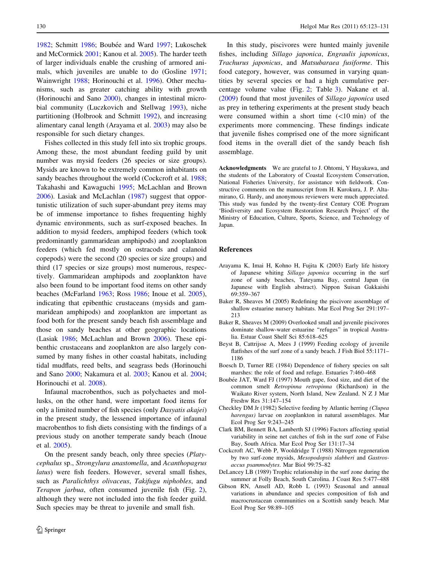<span id="page-7-0"></span>1982; Schmitt [1986;](#page-8-0) Boubée and Ward 1997; Lukoschek and McCormick [2001;](#page-8-0) Kanou et al. [2005](#page-8-0)). The harder teeth of larger individuals enable the crushing of armored animals, which juveniles are unable to do (Gosline [1971](#page-8-0); Wainwright [1988;](#page-8-0) Horinouchi et al. [1996](#page-8-0)). Other mechanisms, such as greater catching ability with growth (Horinouchi and Sano [2000](#page-8-0)), changes in intestinal microbial community (Luczkovich and Stellwag [1993\)](#page-8-0), niche partitioning (Holbrook and Schmitt [1992](#page-8-0)), and increasing alimentary canal length (Arayama et al. 2003) may also be responsible for such dietary changes.

Fishes collected in this study fell into six trophic groups. Among these, the most abundant feeding guild by unit number was mysid feeders (26 species or size groups). Mysids are known to be extremely common inhabitants on sandy beaches throughout the world (Cockcroft et al. 1988; Takahashi and Kawaguchi [1995;](#page-8-0) McLachlan and Brown [2006\)](#page-8-0). Lasiak and McLachlan ([1987\)](#page-8-0) suggest that opportunistic utilization of such super-abundant prey items may be of immense importance to fishes frequenting highly dynamic environments, such as surf-exposed beaches. In addition to mysid feeders, amphipod feeders (which took predominantly gammaridean amphipods) and zooplankton feeders (which fed mostly on ostracods and calanoid copepods) were the second (20 species or size groups) and third (17 species or size groups) most numerous, respectively. Gammaridean amphipods and zooplankton have also been found to be important food items on other sandy beaches (McFarland [1963](#page-8-0); Ross [1986](#page-8-0); Inoue et al. [2005](#page-8-0)), indicating that epibenthic crustaceans (mysids and gammaridean amphipods) and zooplankton are important as food both for the present sandy beach fish assemblage and those on sandy beaches at other geographic locations (Lasiak [1986;](#page-8-0) McLachlan and Brown [2006](#page-8-0)). These epibenthic crustaceans and zooplankton are also largely consumed by many fishes in other coastal habitats, including tidal mudflats, reed belts, and seagrass beds (Horinouchi and Sano [2000;](#page-8-0) Nakamura et al. [2003;](#page-8-0) Kanou et al. [2004](#page-8-0); Horinouchi et al. [2008\)](#page-8-0).

Infaunal macrobenthos, such as polychaetes and mollusks, on the other hand, were important food items for only a limited number of fish species (only Dasyatis akajei) in the present study, the lessened importance of infaunal macrobenthos to fish diets consisting with the findings of a previous study on another temperate sandy beach (Inoue et al. [2005\)](#page-8-0).

On the present sandy beach, only three species (Platycephalus sp., Strongylura anastomella, and Acanthopagrus latus) were fish feeders. However, several small fishes, such as Paralichthys olivaceus, Takifugu niphobles, and Terapon jarbua, often consumed juvenile fish (Fig. [2](#page-5-0)), although they were not included into the fish feeder guild. Such species may be threat to juvenile and small fish.

In this study, piscivores were hunted mainly juvenile fishes, including Sillago japonica, Engraulis japonicus, Trachurus japonicus, and Matsubaraea fusiforme. This food category, however, was consumed in varying quantities by several species or had a high cumulative percentage volume value (Fig. [2;](#page-5-0) Table [3](#page-6-0)). Nakane et al. [\(2009](#page-8-0)) found that most juveniles of Sillago japonica used as prey in tethering experiments at the present study beach were consumed within a short time  $(\langle 10 \text{ min})$  of the experiments more commencing. These findings indicate that juvenile fishes comprised one of the more significant food items in the overall diet of the sandy beach fish assemblage.

Acknowledgments We are grateful to J. Ohtomi, Y Hayakawa, and the students of the Laboratory of Coastal Ecosystem Conservation, National Fisheries University, for assistance with fieldwork. Constructive comments on the manuscript from H. Kurokura, J. P. Altamirano, G. Hardy, and anonymous reviewers were much appreciated. This study was funded by the twenty-first Century COE Program 'Biodiversity and Ecosystem Restoration Research Project' of the Ministry of Education, Culture, Sports, Science, and Technology of Japan.

### References

- Arayama K, Imai H, Kohno H, Fujita K (2003) Early life history of Japanese whiting Sillago japonica occurring in the surf zone of sandy beaches, Tateyama Bay, central Japan (in Japanese with English abstract). Nippon Suisan Gakkaishi 69:359–367
- Baker R, Sheaves M (2005) Redefining the piscivore assemblage of shallow estuarine nursery habitats. Mar Ecol Prog Ser 291:197– 213
- Baker R, Sheaves M (2009) Overlooked small and juvenile piscivores dominate shallow-water estuarine ''refuges'' in tropical Australia. Estuar Coast Shelf Sci 85:618–625
- Beyst B, Cattrijsse A, Mees J (1999) Feeding ecology of juvenile flatfishes of the surf zone of a sandy beach. J Fish Biol 55:1171– 1186
- Boesch D, Turner RE (1984) Dependence of fishery species on salt marshes: the role of food and refuge. Estuaries 7:460–468
- Boubée JAT, Ward FJ (1997) Mouth gape, food size, and diet of the common smelt Retropinna retropinna (Richardson) in the Waikato River system, North Island, New Zealand. N Z J Mar Freshw Res 31:147–154
- Checkley DM Jr (1982) Selective feeding by Atlantic herring (Clupea harengus) larvae on zooplankton in natural assemblages. Mar Ecol Prog Ser 9:243–245
- Clark BM, Bennett BA, Lamberth SJ (1996) Factors affecting spatial variability in seine net catches of fish in the surf zone of False Bay, South Africa. Mar Ecol Prog Ser 131:17–34
- Cockcroft AC, Webb P, Wooldridge T (1988) Nitrogen regeneration by two surf-zone mysids, Mesopodopsis slabberi and Gastrosaccus psammodytes. Mar Biol 99:75–82
- DeLancey LB (1989) Trophic relationship in the surf zone during the summer at Folly Beach, South Carolina. J Coast Res 5:477–488
- Gibson RN, Ansell AD, Robb L (1993) Seasonal and annual variations in abundance and species composition of fish and macrocrustacean communities on a Scottish sandy beach. Mar Ecol Prog Ser 98:89–105